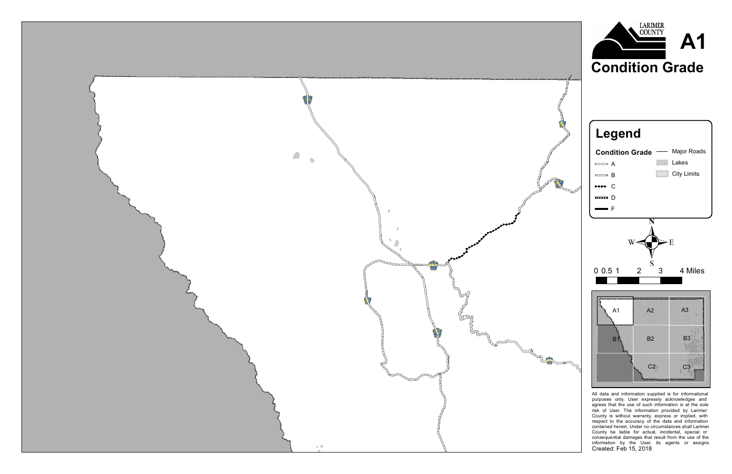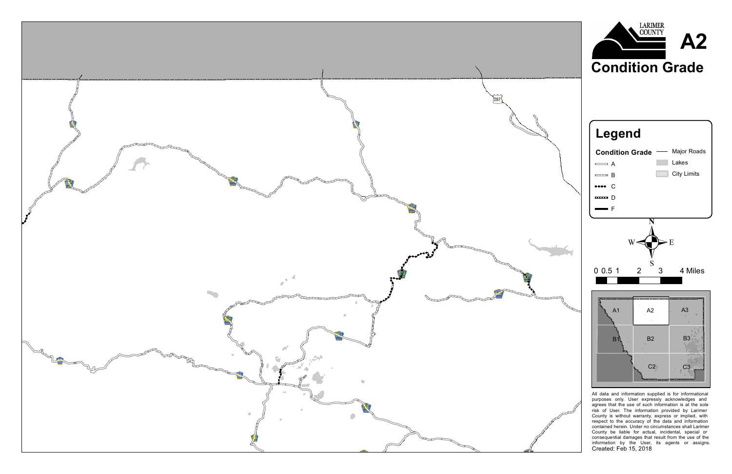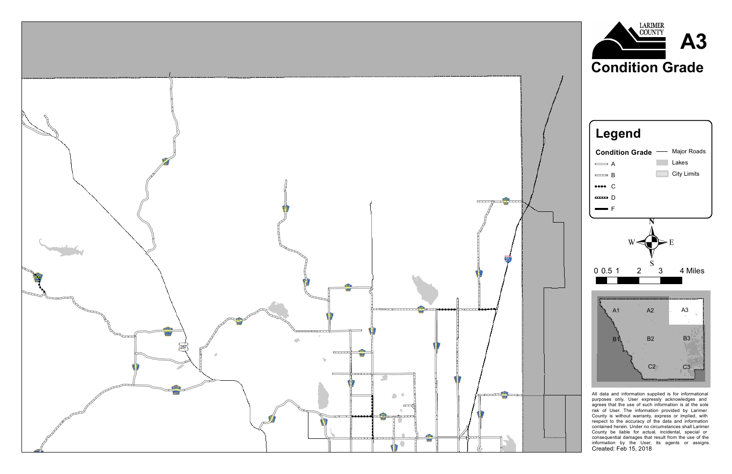

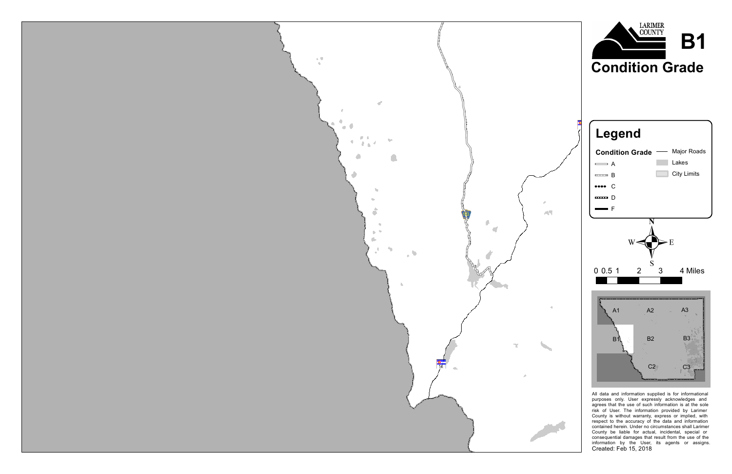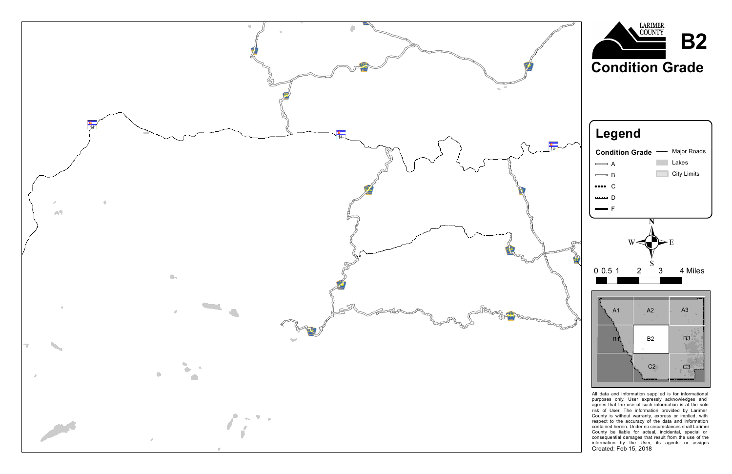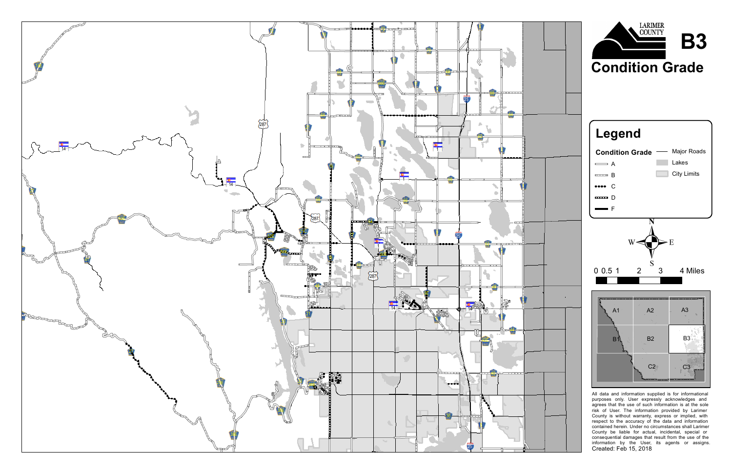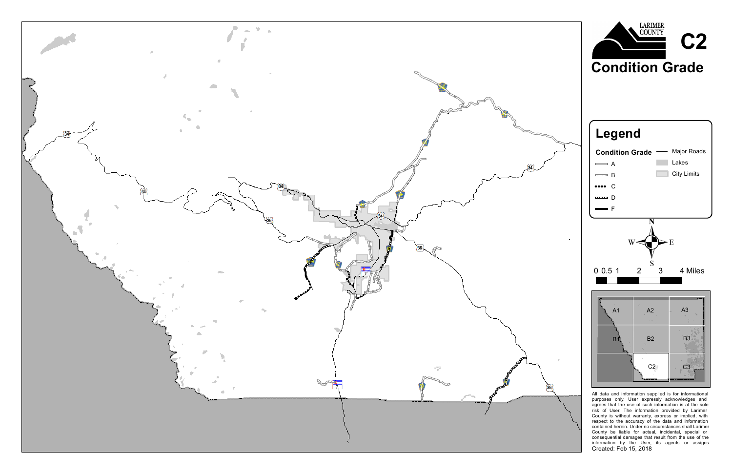